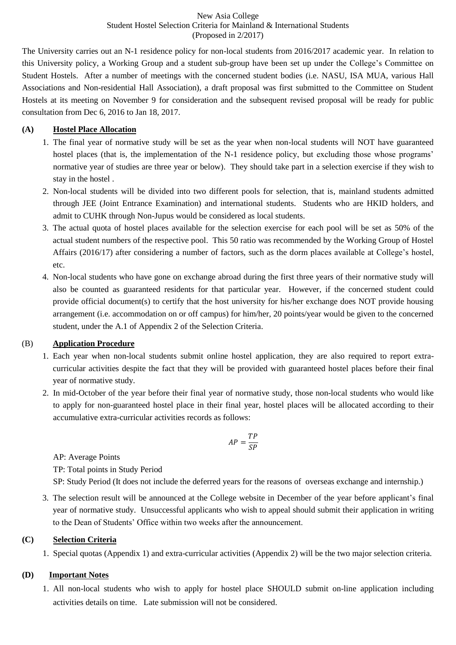New Asia College Student Hostel Selection Criteria for Mainland & International Students (Proposed in 2/2017)

The University carries out an N-1 residence policy for non-local students from 2016/2017 academic year. In relation to this University policy, a Working Group and a student sub-group have been set up under the College's Committee on Student Hostels. After a number of meetings with the concerned student bodies (i.e. NASU, ISA MUA, various Hall Associations and Non-residential Hall Association), a draft proposal was first submitted to the Committee on Student Hostels at its meeting on November 9 for consideration and the subsequent revised proposal will be ready for public consultation from Dec 6, 2016 to Jan 18, 2017.

### **(A) Hostel Place Allocation**

- 1. The final year of normative study will be set as the year when non-local students will NOT have guaranteed hostel places (that is, the implementation of the N-1 residence policy, but excluding those whose programs' normative year of studies are three year or below). They should take part in a selection exercise if they wish to stay in the hostel .
- 2. Non-local students will be divided into two different pools for selection, that is, mainland students admitted through JEE (Joint Entrance Examination) and international students. Students who are HKID holders, and admit to CUHK through Non-Jupus would be considered as local students.
- 3. The actual quota of hostel places available for the selection exercise for each pool will be set as 50% of the actual student numbers of the respective pool. This 50 ratio was recommended by the Working Group of Hostel Affairs (2016/17) after considering a number of factors, such as the dorm places available at College's hostel, etc.
- 4. Non-local students who have gone on exchange abroad during the first three years of their normative study will also be counted as guaranteed residents for that particular year. However, if the concerned student could provide official document(s) to certify that the host university for his/her exchange does NOT provide housing arrangement (i.e. accommodation on or off campus) for him/her, 20 points/year would be given to the concerned student, under the A.1 of Appendix 2 of the Selection Criteria.

#### (B) **Application Procedure**

- 1. Each year when non-local students submit online hostel application, they are also required to report extracurricular activities despite the fact that they will be provided with guaranteed hostel places before their final year of normative study.
- 2. In mid-October of the year before their final year of normative study, those non-local students who would like to apply for non-guaranteed hostel place in their final year, hostel places will be allocated according to their accumulative extra-curricular activities records as follows:

$$
AP = \frac{TP}{SP}
$$

AP: Average Points

TP: Total points in Study Period

SP: Study Period (It does not include the deferred years for the reasons of overseas exchange and internship.)

3. The selection result will be announced at the College website in December of the year before applicant's final year of normative study. Unsuccessful applicants who wish to appeal should submit their application in writing to the Dean of Students' Office within two weeks after the announcement.

#### **(C) Selection Criteria**

1. Special quotas (Appendix 1) and extra-curricular activities (Appendix 2) will be the two major selection criteria.

#### **(D) Important Notes**

1. All non-local students who wish to apply for hostel place SHOULD submit on-line application including activities details on time. Late submission will not be considered.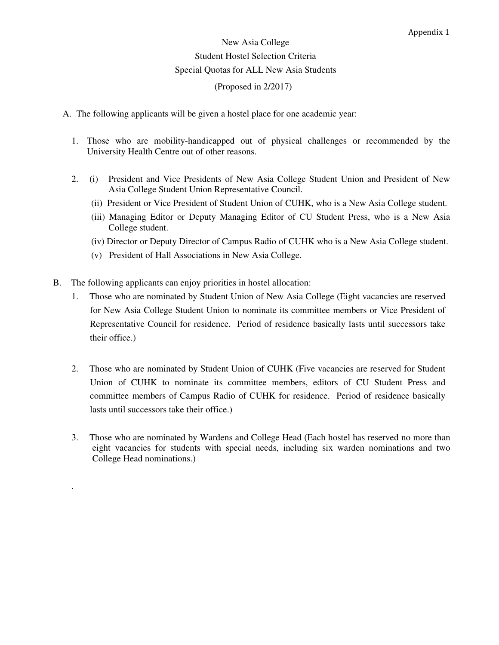# New Asia College Student Hostel Selection Criteria Special Quotas for ALL New Asia Students (Proposed in 2/2017)

- A. The following applicants will be given a hostel place for one academic year:
	- 1. Those who are mobility-handicapped out of physical challenges or recommended by the University Health Centre out of other reasons.
	- 2. (i) President and Vice Presidents of New Asia College Student Union and President of New Asia College Student Union Representative Council.
		- (ii) President or Vice President of Student Union of CUHK, who is a New Asia College student.
		- (iii) Managing Editor or Deputy Managing Editor of CU Student Press, who is a New Asia College student.
		- (iv) Director or Deputy Director of Campus Radio of CUHK who is a New Asia College student.
		- (v) President of Hall Associations in New Asia College.
- B. The following applicants can enjoy priorities in hostel allocation:

.

- 1. Those who are nominated by Student Union of New Asia College (Eight vacancies are reserved for New Asia College Student Union to nominate its committee members or Vice President of Representative Council for residence. Period of residence basically lasts until successors take their office.)
- 2. Those who are nominated by Student Union of CUHK (Five vacancies are reserved for Student Union of CUHK to nominate its committee members, editors of CU Student Press and committee members of Campus Radio of CUHK for residence. Period of residence basically lasts until successors take their office.)
- 3. Those who are nominated by Wardens and College Head (Each hostel has reserved no more than eight vacancies for students with special needs, including six warden nominations and two College Head nominations.)